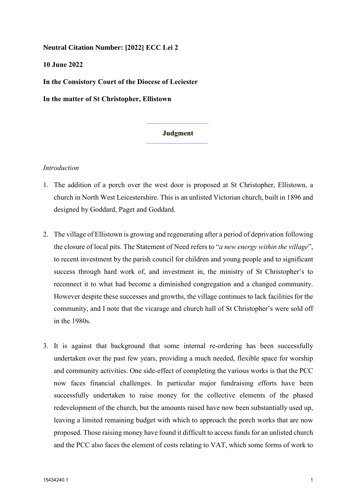**Neutral Citation Number: [2022] ECC Lei 2** 

**10 June 2022** 

**In the Consistory Court of the Diocese of Leciester** 

**In the matter of St Christopher, Ellistown** 

### **Judgment**

#### *Introduction*

- 1. The addition of a porch over the west door is proposed at St Christopher, Ellistown, a church in North West Leicestershire. This is an unlisted Victorian church, built in 1896 and designed by Goddard, Paget and Goddard.
- 2. The village of Ellistown is growing and regenerating after a period of deprivation following the closure of local pits. The Statement of Need refers to "*a new energy within the village*", to recent investment by the parish council for children and young people and to significant success through hard work of, and investment in, the ministry of St Christopher's to reconnect it to what had become a diminished congregation and a changed community. However despite these successes and growths, the village continues to lack facilities for the community, and I note that the vicarage and church hall of St Christopher's were sold off in the 1980s.
- 3. It is against that background that some internal re-ordering has been successfully undertaken over the past few years, providing a much needed, flexible space for worship and community activities. One side-effect of completing the various works is that the PCC now faces financial challenges. In particular major fundraising efforts have been successfully undertaken to raise money for the collective elements of the phased redevelopment of the church, but the amounts raised have now been substantially used up, leaving a limited remaining budget with which to approach the porch works that are now proposed. Those raising money have found it difficult to access funds for an unlisted church and the PCC also faces the element of costs relating to VAT, which some forms of work to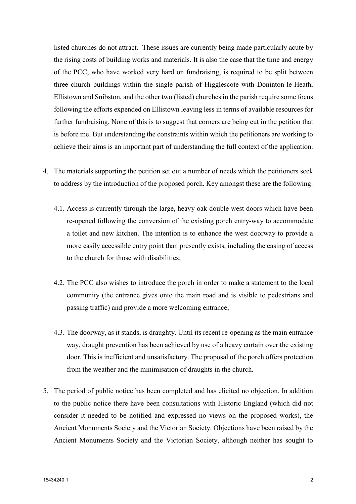listed churches do not attract. These issues are currently being made particularly acute by the rising costs of building works and materials. It is also the case that the time and energy of the PCC, who have worked very hard on fundraising, is required to be split between three church buildings within the single parish of Higglescote with Doninton-le-Heath, Ellistown and Snibston, and the other two (listed) churches in the parish require some focus following the efforts expended on Ellistown leaving less in terms of available resources for further fundraising. None of this is to suggest that corners are being cut in the petition that is before me. But understanding the constraints within which the petitioners are working to achieve their aims is an important part of understanding the full context of the application.

- 4. The materials supporting the petition set out a number of needs which the petitioners seek to address by the introduction of the proposed porch. Key amongst these are the following:
	- 4.1. Access is currently through the large, heavy oak double west doors which have been re-opened following the conversion of the existing porch entry-way to accommodate a toilet and new kitchen. The intention is to enhance the west doorway to provide a more easily accessible entry point than presently exists, including the easing of access to the church for those with disabilities;
	- 4.2. The PCC also wishes to introduce the porch in order to make a statement to the local community (the entrance gives onto the main road and is visible to pedestrians and passing traffic) and provide a more welcoming entrance;
	- 4.3. The doorway, as it stands, is draughty. Until its recent re-opening as the main entrance way, draught prevention has been achieved by use of a heavy curtain over the existing door. This is inefficient and unsatisfactory. The proposal of the porch offers protection from the weather and the minimisation of draughts in the church.
- 5. The period of public notice has been completed and has elicited no objection. In addition to the public notice there have been consultations with Historic England (which did not consider it needed to be notified and expressed no views on the proposed works), the Ancient Monuments Society and the Victorian Society. Objections have been raised by the Ancient Monuments Society and the Victorian Society, although neither has sought to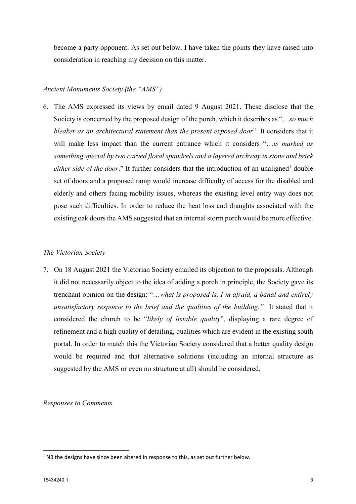become a party opponent. As set out below, I have taken the points they have raised into consideration in reaching my decision on this matter.

# *Ancient Monuments Society (the "AMS")*

6. The AMS expressed its views by email dated 9 August 2021. These disclose that the Society is concerned by the proposed design of the porch, which it describes as "…*so much bleaker as an architectural statement than the present exposed door*". It considers that it will make less impact than the current entrance which it considers "…*is marked as something special by two carved floral spandrels and a layered archway in stone and brick either side of the door.*" It further considers that the introduction of an unaligned<sup>1</sup> double set of doors and a proposed ramp would increase difficulty of access for the disabled and elderly and others facing mobility issues, whereas the existing level entry way does not pose such difficulties. In order to reduce the heat loss and draughts associated with the existing oak doors the AMS suggested that an internal storm porch would be more effective.

## *The Victorian Society*

7. On 18 August 2021 the Victorian Society emailed its objection to the proposals. Although it did not necessarily object to the idea of adding a porch in principle, the Society gave its trenchant opinion on the design: "…*what is proposed is, I'm afraid, a banal and entirely unsatisfactory response to the brief and the qualities of the building."* It stated that it considered the church to be "*likely of listable quality*", displaying a rare degree of refinement and a high quality of detailing, qualities which are evident in the existing south portal. In order to match this the Victorian Society considered that a better quality design would be required and that alternative solutions (including an internal structure as suggested by the AMS or even no structure at all) should be considered.

*Responses to Comments* 

 $\overline{\phantom{a}}$ 

 $<sup>1</sup>$  NB the designs have since been altered in response to this, as set out further below.</sup>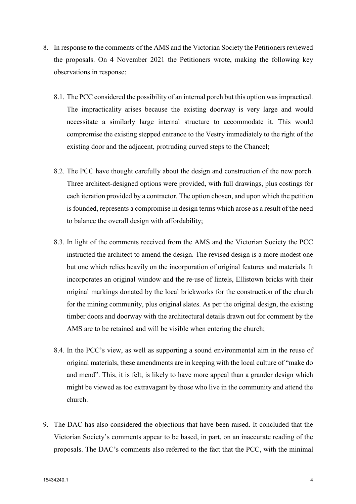- 8. In response to the comments of the AMS and the Victorian Society the Petitioners reviewed the proposals. On 4 November 2021 the Petitioners wrote, making the following key observations in response:
	- 8.1. The PCC considered the possibility of an internal porch but this option was impractical. The impracticality arises because the existing doorway is very large and would necessitate a similarly large internal structure to accommodate it. This would compromise the existing stepped entrance to the Vestry immediately to the right of the existing door and the adjacent, protruding curved steps to the Chancel;
	- 8.2. The PCC have thought carefully about the design and construction of the new porch. Three architect-designed options were provided, with full drawings, plus costings for each iteration provided by a contractor. The option chosen, and upon which the petition is founded, represents a compromise in design terms which arose as a result of the need to balance the overall design with affordability;
	- 8.3. In light of the comments received from the AMS and the Victorian Society the PCC instructed the architect to amend the design. The revised design is a more modest one but one which relies heavily on the incorporation of original features and materials. It incorporates an original window and the re-use of lintels, Ellistown bricks with their original markings donated by the local brickworks for the construction of the church for the mining community, plus original slates. As per the original design, the existing timber doors and doorway with the architectural details drawn out for comment by the AMS are to be retained and will be visible when entering the church;
	- 8.4. In the PCC's view, as well as supporting a sound environmental aim in the reuse of original materials, these amendments are in keeping with the local culture of "make do and mend". This, it is felt, is likely to have more appeal than a grander design which might be viewed as too extravagant by those who live in the community and attend the church.
- 9. The DAC has also considered the objections that have been raised. It concluded that the Victorian Society's comments appear to be based, in part, on an inaccurate reading of the proposals. The DAC's comments also referred to the fact that the PCC, with the minimal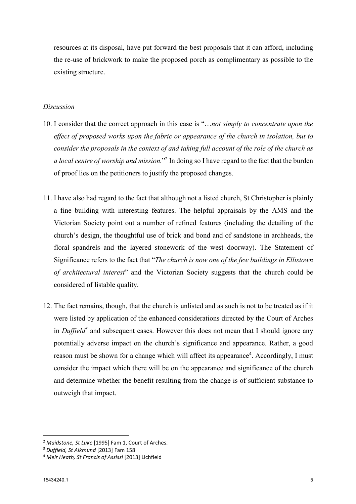resources at its disposal, have put forward the best proposals that it can afford, including the re-use of brickwork to make the proposed porch as complimentary as possible to the existing structure.

### *Discussion*

- 10. I consider that the correct approach in this case is "…*not simply to concentrate upon the effect of proposed works upon the fabric or appearance of the church in isolation, but to consider the proposals in the context of and taking full account of the role of the church as a local centre of worship and mission.*"2 In doing so I have regard to the fact that the burden of proof lies on the petitioners to justify the proposed changes.
- 11. I have also had regard to the fact that although not a listed church, St Christopher is plainly a fine building with interesting features. The helpful appraisals by the AMS and the Victorian Society point out a number of refined features (including the detailing of the church's design, the thoughtful use of brick and bond and of sandstone in archheads, the floral spandrels and the layered stonework of the west doorway). The Statement of Significance refers to the fact that "*The church is now one of the few buildings in Ellistown of architectural interest*" and the Victorian Society suggests that the church could be considered of listable quality.
- 12. The fact remains, though, that the church is unlisted and as such is not to be treated as if it were listed by application of the enhanced considerations directed by the Court of Arches in *Duffield*<sup>3</sup> and subsequent cases. However this does not mean that I should ignore any potentially adverse impact on the church's significance and appearance. Rather, a good reason must be shown for a change which will affect its appearance<sup>4</sup>. Accordingly, I must consider the impact which there will be on the appearance and significance of the church and determine whether the benefit resulting from the change is of sufficient substance to outweigh that impact.

 $\overline{\phantom{a}}$ 

<sup>2</sup> *Maidstone, St Luke* [1995] Fam 1, Court of Arches. 3 *Duffield, St Alkmund* [2013] Fam 158 4 *Meir Heath, St Francis of Assissi* [2013] Lichfield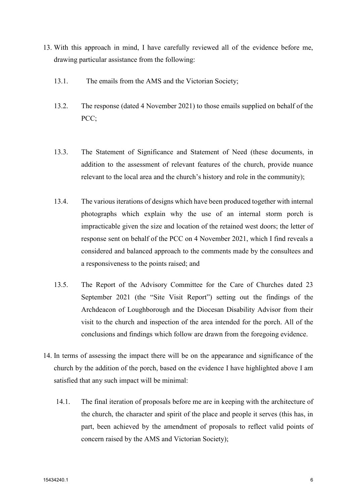- 13. With this approach in mind, I have carefully reviewed all of the evidence before me, drawing particular assistance from the following:
	- 13.1. The emails from the AMS and the Victorian Society;
	- 13.2. The response (dated 4 November 2021) to those emails supplied on behalf of the PCC:
	- 13.3. The Statement of Significance and Statement of Need (these documents, in addition to the assessment of relevant features of the church, provide nuance relevant to the local area and the church's history and role in the community);
	- 13.4. The various iterations of designs which have been produced together with internal photographs which explain why the use of an internal storm porch is impracticable given the size and location of the retained west doors; the letter of response sent on behalf of the PCC on 4 November 2021, which I find reveals a considered and balanced approach to the comments made by the consultees and a responsiveness to the points raised; and
	- 13.5. The Report of the Advisory Committee for the Care of Churches dated 23 September 2021 (the "Site Visit Report") setting out the findings of the Archdeacon of Loughborough and the Diocesan Disability Advisor from their visit to the church and inspection of the area intended for the porch. All of the conclusions and findings which follow are drawn from the foregoing evidence.
- 14. In terms of assessing the impact there will be on the appearance and significance of the church by the addition of the porch, based on the evidence I have highlighted above I am satisfied that any such impact will be minimal:
	- 14.1. The final iteration of proposals before me are in keeping with the architecture of the church, the character and spirit of the place and people it serves (this has, in part, been achieved by the amendment of proposals to reflect valid points of concern raised by the AMS and Victorian Society);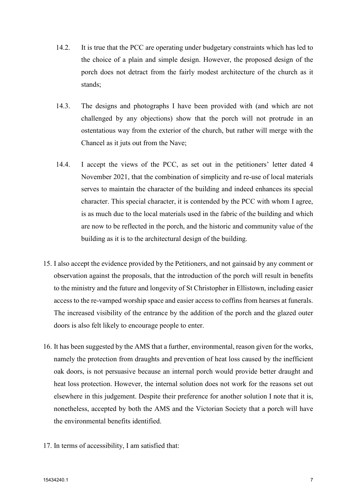- 14.2. It is true that the PCC are operating under budgetary constraints which has led to the choice of a plain and simple design. However, the proposed design of the porch does not detract from the fairly modest architecture of the church as it stands;
- 14.3. The designs and photographs I have been provided with (and which are not challenged by any objections) show that the porch will not protrude in an ostentatious way from the exterior of the church, but rather will merge with the Chancel as it juts out from the Nave;
- 14.4. I accept the views of the PCC, as set out in the petitioners' letter dated 4 November 2021, that the combination of simplicity and re-use of local materials serves to maintain the character of the building and indeed enhances its special character. This special character, it is contended by the PCC with whom I agree, is as much due to the local materials used in the fabric of the building and which are now to be reflected in the porch, and the historic and community value of the building as it is to the architectural design of the building.
- 15. I also accept the evidence provided by the Petitioners, and not gainsaid by any comment or observation against the proposals, that the introduction of the porch will result in benefits to the ministry and the future and longevity of St Christopher in Ellistown, including easier access to the re-vamped worship space and easier access to coffins from hearses at funerals. The increased visibility of the entrance by the addition of the porch and the glazed outer doors is also felt likely to encourage people to enter.
- 16. It has been suggested by the AMS that a further, environmental, reason given for the works, namely the protection from draughts and prevention of heat loss caused by the inefficient oak doors, is not persuasive because an internal porch would provide better draught and heat loss protection. However, the internal solution does not work for the reasons set out elsewhere in this judgement. Despite their preference for another solution I note that it is, nonetheless, accepted by both the AMS and the Victorian Society that a porch will have the environmental benefits identified.
- 17. In terms of accessibility, I am satisfied that: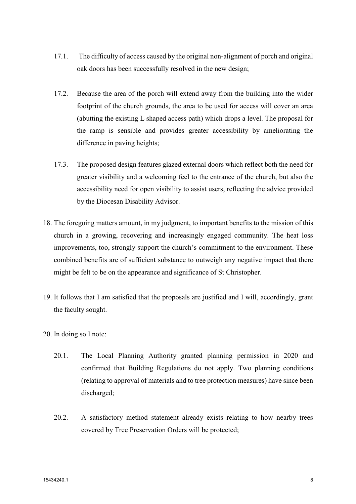- 17.1. The difficulty of access caused by the original non-alignment of porch and original oak doors has been successfully resolved in the new design;
- 17.2. Because the area of the porch will extend away from the building into the wider footprint of the church grounds, the area to be used for access will cover an area (abutting the existing L shaped access path) which drops a level. The proposal for the ramp is sensible and provides greater accessibility by ameliorating the difference in paving heights;
- 17.3. The proposed design features glazed external doors which reflect both the need for greater visibility and a welcoming feel to the entrance of the church, but also the accessibility need for open visibility to assist users, reflecting the advice provided by the Diocesan Disability Advisor.
- 18. The foregoing matters amount, in my judgment, to important benefits to the mission of this church in a growing, recovering and increasingly engaged community. The heat loss improvements, too, strongly support the church's commitment to the environment. These combined benefits are of sufficient substance to outweigh any negative impact that there might be felt to be on the appearance and significance of St Christopher.
- 19. It follows that I am satisfied that the proposals are justified and I will, accordingly, grant the faculty sought.
- 20. In doing so I note:
	- 20.1. The Local Planning Authority granted planning permission in 2020 and confirmed that Building Regulations do not apply. Two planning conditions (relating to approval of materials and to tree protection measures) have since been discharged;
	- 20.2. A satisfactory method statement already exists relating to how nearby trees covered by Tree Preservation Orders will be protected;